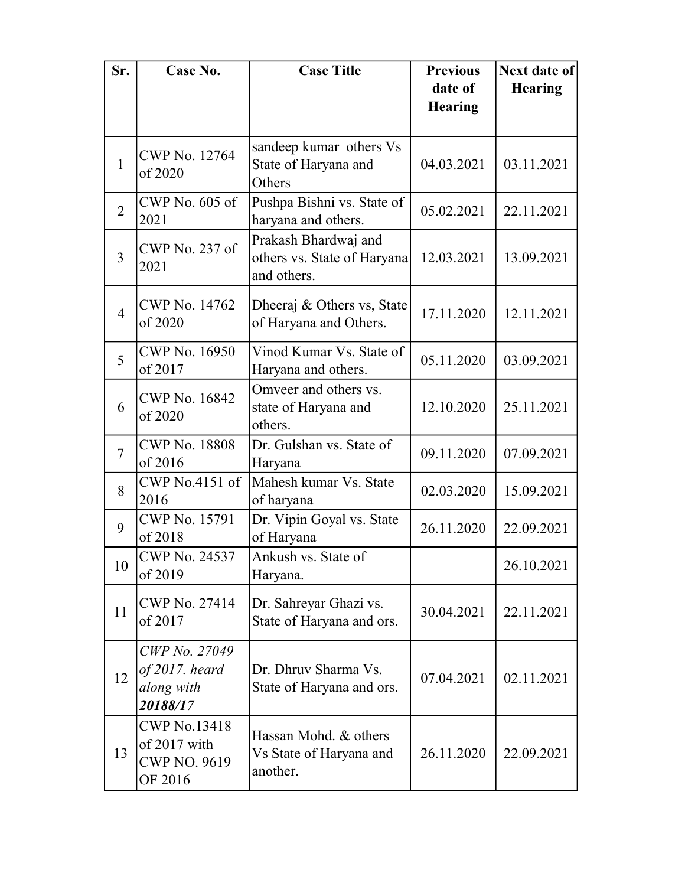| Sr.            | Case No.                                                              | <b>Case Title</b>                                                  | <b>Previous</b><br>date of | Next date of<br><b>Hearing</b> |
|----------------|-----------------------------------------------------------------------|--------------------------------------------------------------------|----------------------------|--------------------------------|
|                |                                                                       |                                                                    | <b>Hearing</b>             |                                |
| $\mathbf{1}$   | <b>CWP No. 12764</b><br>of 2020                                       | sandeep kumar others Vs<br>State of Haryana and<br>Others          | 04.03.2021                 | 03.11.2021                     |
| $\overline{2}$ | CWP No. 605 of<br>2021                                                | Pushpa Bishni vs. State of<br>haryana and others.                  | 05.02.2021                 | 22.11.2021                     |
| $\overline{3}$ | CWP No. 237 of<br>2021                                                | Prakash Bhardwaj and<br>others vs. State of Haryana<br>and others. | 12.03.2021                 | 13.09.2021                     |
| $\overline{4}$ | <b>CWP No. 14762</b><br>of 2020                                       | Dheeraj & Others vs, State<br>of Haryana and Others.               | 17.11.2020                 | 12.11.2021                     |
| 5              | <b>CWP No. 16950</b><br>of 2017                                       | Vinod Kumar Vs. State of<br>Haryana and others.                    | 05.11.2020                 | 03.09.2021                     |
| 6              | CWP No. 16842<br>of 2020                                              | Omveer and others vs.<br>state of Haryana and<br>others.           | 12.10.2020                 | 25.11.2021                     |
| $\overline{7}$ | <b>CWP No. 18808</b><br>of 2016                                       | Dr. Gulshan vs. State of<br>Haryana                                | 09.11.2020                 | 07.09.2021                     |
| 8              | CWP No.4151 of<br>2016                                                | Mahesh kumar Vs. State<br>of haryana                               | 02.03.2020                 | 15.09.2021                     |
| 9              | <b>CWP No. 15791</b><br>of 2018                                       | Dr. Vipin Goyal vs. State<br>of Haryana                            | 26.11.2020                 | 22.09.2021                     |
| 10             | <b>CWP No. 24537</b><br>of 2019                                       | Ankush vs. State of<br>Haryana.                                    |                            | 26.10.2021                     |
| 11             | <b>CWP No. 27414</b><br>of 2017                                       | Dr. Sahreyar Ghazi vs.<br>State of Haryana and ors.                | 30.04.2021                 | 22.11.2021                     |
| 12             | CWP No. 27049<br>$of 2017.$ heard<br>along with<br>20188/17           | Dr. Dhruv Sharma Vs.<br>State of Haryana and ors.                  | 07.04.2021                 | 02.11.2021                     |
| 13             | <b>CWP No.13418</b><br>of 2017 with<br><b>CWP NO. 9619</b><br>OF 2016 | Hassan Mohd. & others<br>Vs State of Haryana and<br>another.       | 26.11.2020                 | 22.09.2021                     |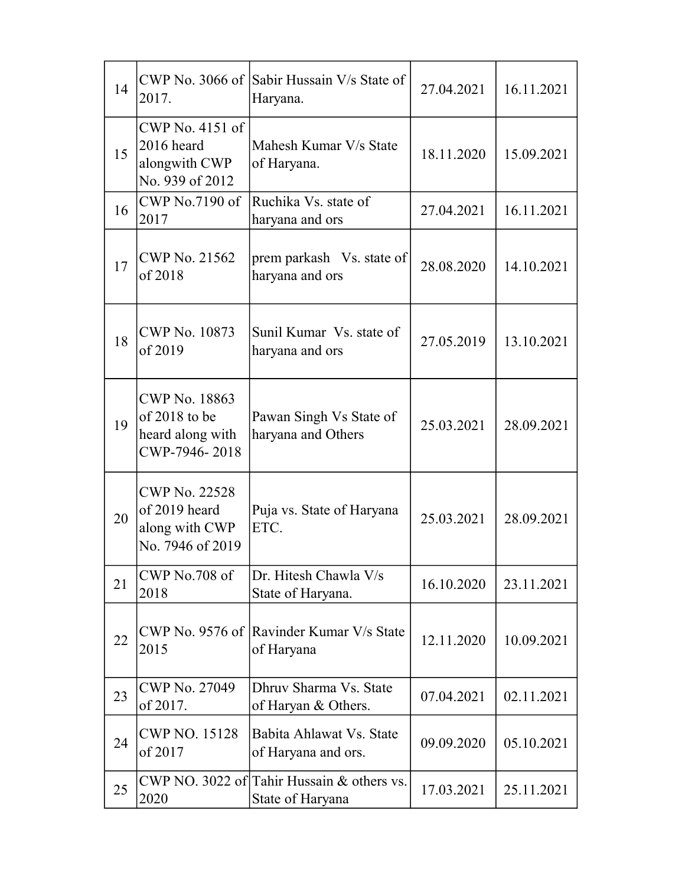| 14 | 2017.                                                                       | CWP No. 3066 of Sabir Hussain V/s State of<br>Haryana.         | 27.04.2021 | 16.11.2021 |
|----|-----------------------------------------------------------------------------|----------------------------------------------------------------|------------|------------|
| 15 | $CWP$ No. 4151 of<br>2016 heard<br>alongwith CWP<br>No. 939 of 2012         | Mahesh Kumar V/s State<br>of Haryana.                          | 18.11.2020 | 15.09.2021 |
| 16 | CWP No.7190 of<br>2017                                                      | Ruchika Vs. state of<br>haryana and ors                        | 27.04.2021 | 16.11.2021 |
| 17 | CWP No. 21562<br>of 2018                                                    | prem parkash Vs. state of<br>haryana and ors                   | 28.08.2020 | 14.10.2021 |
| 18 | CWP No. 10873<br>of 2019                                                    | Sunil Kumar Vs. state of<br>haryana and ors                    | 27.05.2019 | 13.10.2021 |
| 19 | <b>CWP No. 18863</b><br>of 2018 to be<br>heard along with<br>CWP-7946-2018  | Pawan Singh Vs State of<br>haryana and Others                  | 25.03.2021 | 28.09.2021 |
| 20 | <b>CWP No. 22528</b><br>of 2019 heard<br>along with CWP<br>No. 7946 of 2019 | Puja vs. State of Haryana<br>ETC.                              | 25.03.2021 | 28.09.2021 |
| 21 | CWP No.708 of<br>2018                                                       | Dr. Hitesh Chawla V/s<br>State of Haryana.                     | 16.10.2020 | 23.11.2021 |
| 22 | 2015                                                                        | CWP No. 9576 of Ravinder Kumar V/s State<br>of Haryana         | 12.11.2020 | 10.09.2021 |
| 23 | <b>CWP No. 27049</b><br>of 2017.                                            | Dhruy Sharma Vs. State<br>of Haryan & Others.                  | 07.04.2021 | 02.11.2021 |
| 24 | <b>CWP NO. 15128</b><br>of 2017                                             | Babita Ahlawat Vs. State<br>of Haryana and ors.                | 09.09.2020 | 05.10.2021 |
| 25 | 2020                                                                        | CWP NO. 3022 of Tahir Hussain & others vs.<br>State of Haryana | 17.03.2021 | 25.11.2021 |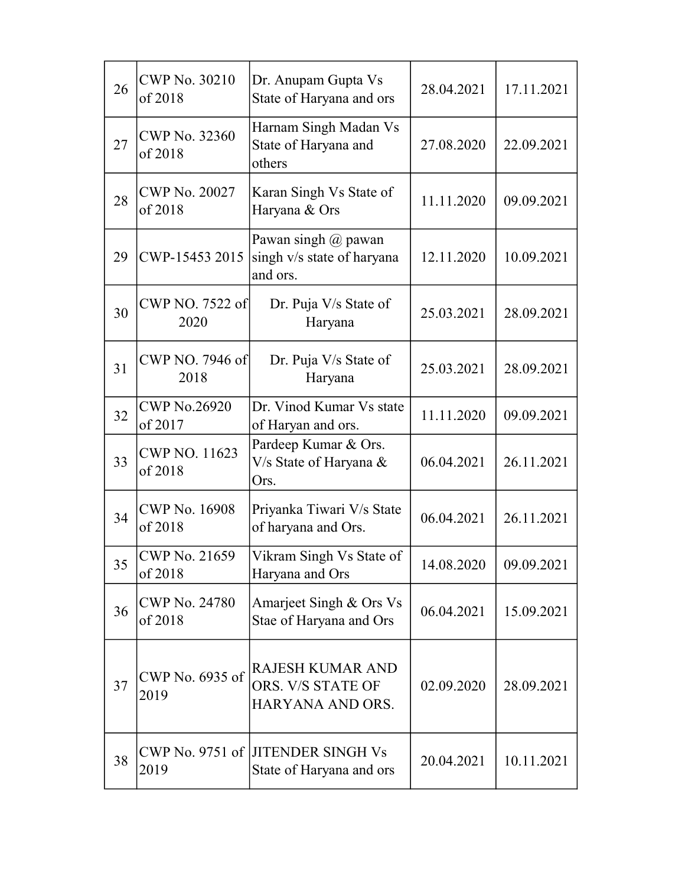| 26 | <b>CWP No. 30210</b><br>of 2018 | Dr. Anupam Gupta Vs<br>State of Haryana and ors                  | 28.04.2021 | 17.11.2021 |
|----|---------------------------------|------------------------------------------------------------------|------------|------------|
| 27 | <b>CWP No. 32360</b><br>of 2018 | Harnam Singh Madan Vs<br>State of Haryana and<br>others          | 27.08.2020 | 22.09.2021 |
| 28 | <b>CWP No. 20027</b><br>of 2018 | Karan Singh Vs State of<br>Haryana & Ors                         | 11.11.2020 | 09.09.2021 |
| 29 | CWP-15453 2015                  | Pawan singh @ pawan<br>singh v/s state of haryana<br>and ors.    | 12.11.2020 | 10.09.2021 |
| 30 | CWP NO. 7522 of<br>2020         | Dr. Puja V/s State of<br>Haryana                                 | 25.03.2021 | 28.09.2021 |
| 31 | CWP NO. 7946 of<br>2018         | Dr. Puja V/s State of<br>Haryana                                 | 25.03.2021 | 28.09.2021 |
| 32 | <b>CWP No.26920</b><br>of 2017  | Dr. Vinod Kumar Vs state<br>of Haryan and ors.                   | 11.11.2020 | 09.09.2021 |
| 33 | CWP NO. 11623<br>of 2018        | Pardeep Kumar & Ors.<br>V/s State of Haryana &<br>Ors.           | 06.04.2021 | 26.11.2021 |
| 34 | <b>CWP No. 16908</b><br>of 2018 | Priyanka Tiwari V/s State<br>of haryana and Ors.                 | 06.04.2021 | 26.11.2021 |
| 35 | CWP No. 21659<br>of 2018        | Vikram Singh Vs State of<br>Haryana and Ors                      | 14.08.2020 | 09.09.2021 |
| 36 | <b>CWP No. 24780</b><br>of 2018 | Amarjeet Singh & Ors Vs<br>Stae of Haryana and Ors               | 06.04.2021 | 15.09.2021 |
| 37 | CWP No. 6935 of<br>2019         | <b>RAJESH KUMAR AND</b><br>ORS. V/S STATE OF<br>HARYANA AND ORS. | 02.09.2020 | 28.09.2021 |
| 38 | 2019                            | CWP No. 9751 of JITENDER SINGH Vs<br>State of Haryana and ors    | 20.04.2021 | 10.11.2021 |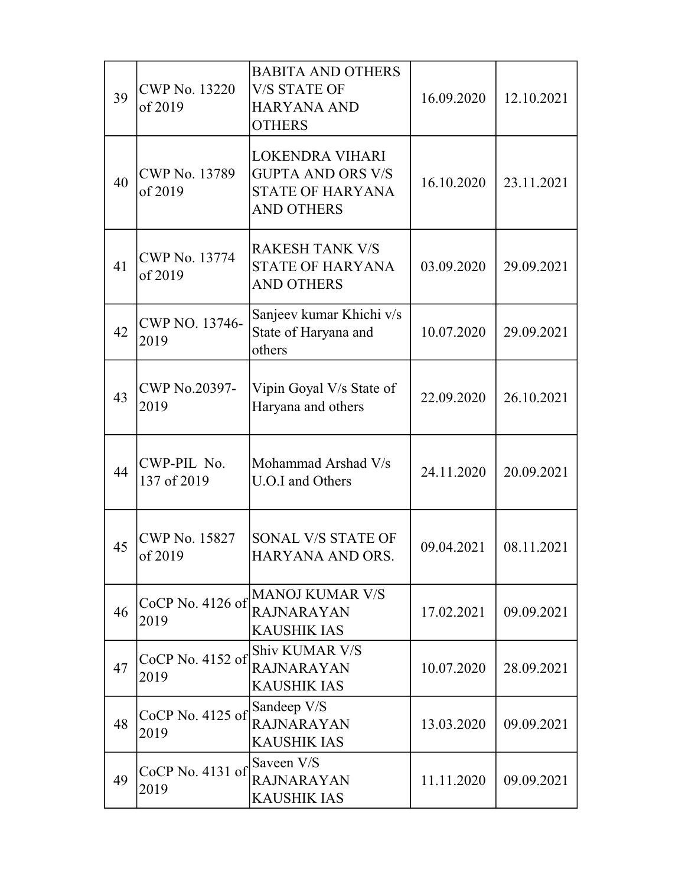| 39 | <b>CWP No. 13220</b><br>of 2019 | <b>BABITA AND OTHERS</b><br><b>V/S STATE OF</b><br><b>HARYANA AND</b><br><b>OTHERS</b>             | 16.09.2020 | 12.10.2021 |
|----|---------------------------------|----------------------------------------------------------------------------------------------------|------------|------------|
| 40 | <b>CWP No. 13789</b><br>of 2019 | <b>LOKENDRA VIHARI</b><br><b>GUPTA AND ORS V/S</b><br><b>STATE OF HARYANA</b><br><b>AND OTHERS</b> | 16.10.2020 | 23.11.2021 |
| 41 | <b>CWP No. 13774</b><br>of 2019 | <b>RAKESH TANK V/S</b><br><b>STATE OF HARYANA</b><br><b>AND OTHERS</b>                             | 03.09.2020 | 29.09.2021 |
| 42 | CWP NO. 13746-<br>2019          | Sanjeev kumar Khichi v/s<br>State of Haryana and<br>others                                         | 10.07.2020 | 29.09.2021 |
| 43 | CWP No.20397-<br>2019           | Vipin Goyal V/s State of<br>Haryana and others                                                     | 22.09.2020 | 26.10.2021 |
| 44 | CWP-PIL No.<br>137 of 2019      | Mohammad Arshad V/s<br>U.O.I and Others                                                            | 24.11.2020 | 20.09.2021 |
| 45 | <b>CWP No. 15827</b><br>of 2019 | SONAL V/S STATE OF<br>HARYANA AND ORS.                                                             | 09.04.2021 | 08.11.2021 |
| 46 | CoCP No. 4126 of<br>2019        | <b>MANOJ KUMAR V/S</b><br><b>RAJNARAYAN</b><br><b>KAUSHIK IAS</b>                                  | 17.02.2021 | 09.09.2021 |
| 47 | $CoCP$ No. 4152 of<br>2019      | <b>Shiv KUMAR V/S</b><br><b>RAJNARAYAN</b><br><b>KAUSHIK IAS</b>                                   | 10.07.2020 | 28.09.2021 |
| 48 | CoCP No. 4125 of<br>2019        | Sandeep V/S<br><b>RAJNARAYAN</b><br><b>KAUSHIK IAS</b>                                             | 13.03.2020 | 09.09.2021 |
| 49 | $CoCP$ No. 4131 of<br>2019      | Saveen V/S<br><b>RAJNARAYAN</b><br><b>KAUSHIK IAS</b>                                              | 11.11.2020 | 09.09.2021 |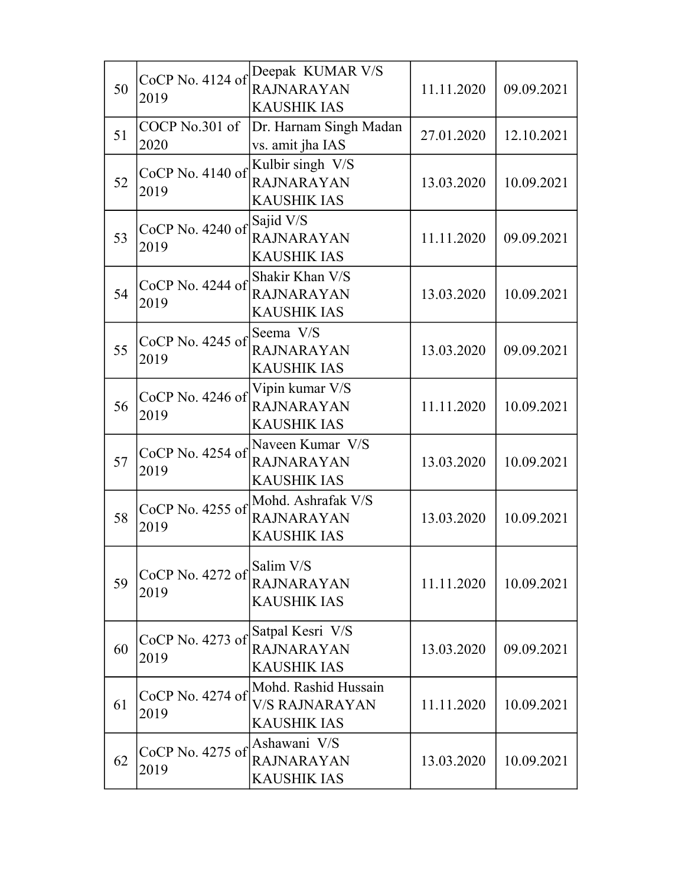| 50 | CoCP No. 4124 of<br>2019 | Deepak KUMAR V/S<br><b>RAJNARAYAN</b><br><b>KAUSHIK IAS</b>         | 11.11.2020 | 09.09.2021 |
|----|--------------------------|---------------------------------------------------------------------|------------|------------|
| 51 | COCP No.301 of<br>2020   | Dr. Harnam Singh Madan<br>vs. amit jha IAS                          | 27.01.2020 | 12.10.2021 |
| 52 | CoCP No. 4140 of<br>2019 | Kulbir singh V/S<br><b>RAJNARAYAN</b><br>KAUSHIK IAS                | 13.03.2020 | 10.09.2021 |
| 53 | CoCP No. 4240 of<br>2019 | Sajid V/S<br><b>RAJNARAYAN</b><br><b>KAUSHIK IAS</b>                | 11.11.2020 | 09.09.2021 |
| 54 | CoCP No. 4244 of<br>2019 | Shakir Khan V/S<br><b>RAJNARAYAN</b><br><b>KAUSHIK IAS</b>          | 13.03.2020 | 10.09.2021 |
| 55 | CoCP No. 4245 of<br>2019 | Seema V/S<br><b>RAJNARAYAN</b><br><b>KAUSHIK IAS</b>                | 13.03.2020 | 09.09.2021 |
| 56 | CoCP No. 4246 of<br>2019 | Vipin kumar V/S<br><b>RAJNARAYAN</b><br><b>KAUSHIK IAS</b>          | 11.11.2020 | 10.09.2021 |
| 57 | CoCP No. 4254 of<br>2019 | Naveen Kumar V/S<br>RAJNARAYAN<br><b>KAUSHIK IAS</b>                | 13.03.2020 | 10.09.2021 |
| 58 | CoCP No. 4255 of<br>2019 | Mohd. Ashrafak V/S<br><b>RAJNARAYAN</b><br>KAUSHIK IAS              | 13.03.2020 | 10.09.2021 |
| 59 | CoCP No. 4272 of<br>2019 | Salim V/S<br><b>RAJNARAYAN</b><br><b>KAUSHIK IAS</b>                | 11.11.2020 | 10.09.2021 |
| 60 | CoCP No. 4273 of<br>2019 | Satpal Kesri V/S<br><b>RAJNARAYAN</b><br><b>KAUSHIK IAS</b>         | 13.03.2020 | 09.09.2021 |
| 61 | CoCP No. 4274 of<br>2019 | Mohd. Rashid Hussain<br><b>V/S RAJNARAYAN</b><br><b>KAUSHIK IAS</b> | 11.11.2020 | 10.09.2021 |
| 62 | CoCP No. 4275 of<br>2019 | Ashawani V/S<br><b>RAJNARAYAN</b><br><b>KAUSHIK IAS</b>             | 13.03.2020 | 10.09.2021 |